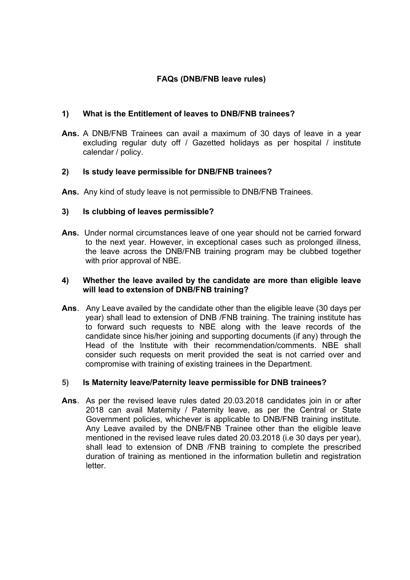# FAQs (DNB/FNB leave rules)

# 1) What is the Entitlement of leaves to DNB/FNB trainees?

Ans. A DNB/FNB Trainees can avail a maximum of 30 days of leave in a year excluding regular duty off / Gazetted holidays as per hospital / institute calendar / policy.

# 2) Is study leave permissible for DNB/FNB trainees?

Ans. Any kind of study leave is not permissible to DNB/FNB Trainees.

# 3) Is clubbing of leaves permissible?

Ans. Under normal circumstances leave of one year should not be carried forward to the next year. However, in exceptional cases such as prolonged illness, the leave across the DNB/FNB training program may be clubbed together with prior approval of NBE.

# 4) Whether the leave availed by the candidate are more than eligible leave will lead to extension of DNB/FNB training?

Ans. Any Leave availed by the candidate other than the eligible leave (30 days per year) shall lead to extension of DNB /FNB training. The training institute has to forward such requests to NBE along with the leave records of the candidate since his/her joining and supporting documents (if any) through the Head of the Institute with their recommendation/comments. NBE shall consider such requests on merit provided the seat is not carried over and compromise with training of existing trainees in the Department.

### 5) Is Maternity leave/Paternity leave permissible for DNB trainees?

Ans. As per the revised leave rules dated 20.03.2018 candidates join in or after 2018 can avail Maternity / Paternity leave, as per the Central or State Government policies, whichever is applicable to DNB/FNB training institute. Any Leave availed by the DNB/FNB Trainee other than the eligible leave mentioned in the revised leave rules dated 20.03.2018 (i.e 30 days per year), shall lead to extension of DNB /FNB training to complete the prescribed duration of training as mentioned in the information bulletin and registration **letter**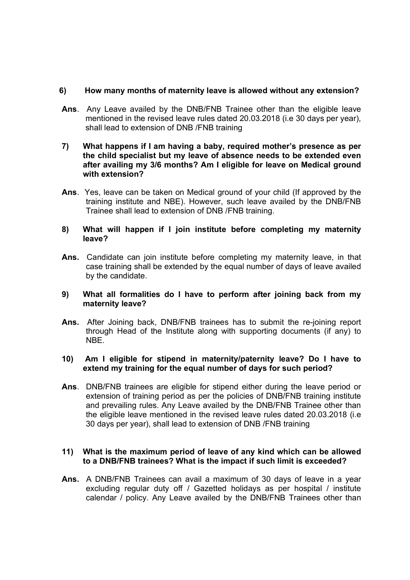# 6) How many months of maternity leave is allowed without any extension?

- Ans. Any Leave availed by the DNB/FNB Trainee other than the eligible leave mentioned in the revised leave rules dated 20.03.2018 (i.e 30 days per year), shall lead to extension of DNB /FNB training
- 7) What happens if I am having a baby, required mother's presence as per the child specialist but my leave of absence needs to be extended even after availing my 3/6 months? Am I eligible for leave on Medical ground with extension?
- Ans. Yes, leave can be taken on Medical ground of your child (If approved by the training institute and NBE). However, such leave availed by the DNB/FNB Trainee shall lead to extension of DNB /FNB training.

# 8) What will happen if I join institute before completing my maternity leave?

Ans. Candidate can join institute before completing my maternity leave, in that case training shall be extended by the equal number of days of leave availed by the candidate.

### 9) What all formalities do I have to perform after joining back from my maternity leave?

Ans. After Joining back, DNB/FNB trainees has to submit the re-joining report through Head of the Institute along with supporting documents (if any) to NBE.

### 10) Am I eligible for stipend in maternity/paternity leave? Do I have to extend my training for the equal number of days for such period?

Ans. DNB/FNB trainees are eligible for stipend either during the leave period or extension of training period as per the policies of DNB/FNB training institute and prevailing rules. Any Leave availed by the DNB/FNB Trainee other than the eligible leave mentioned in the revised leave rules dated 20.03.2018 (i.e 30 days per year), shall lead to extension of DNB /FNB training

### 11) What is the maximum period of leave of any kind which can be allowed to a DNB/FNB trainees? What is the impact if such limit is exceeded?

Ans. A DNB/FNB Trainees can avail a maximum of 30 days of leave in a year excluding regular duty off / Gazetted holidays as per hospital / institute calendar / policy. Any Leave availed by the DNB/FNB Trainees other than